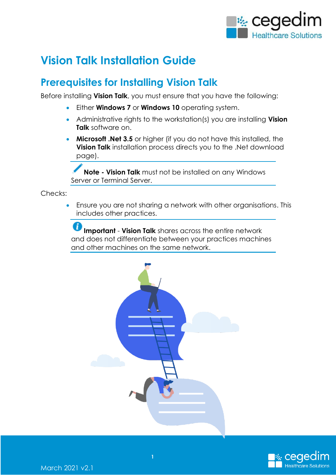

# **Vision Talk Installation Guide**

## **Prerequisites for Installing Vision Talk**

Before installing **Vision Talk**, you must ensure that you have the following:

- Either **Windows 7** or **Windows 10** operating system.
- Administrative rights to the workstation(s) you are installing **Vision Talk** software on.
- **Microsoft .Net 3.5** or higher (if you do not have this installed, the **Vision Talk** installation process directs you to the .Net download page).

**Note - Vision Talk** must not be installed on any Windows Server or Terminal Server.

Checks:

 Ensure you are not sharing a network with other organisations. This includes other practices.

**Important** - **Vision Talk** shares across the entire network and does not differentiate between your practices machines and other machines on the same network.



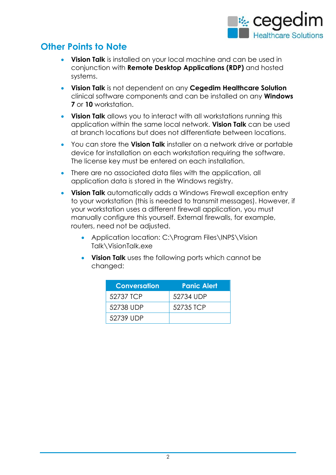

### **Other Points to Note**

- **Vision Talk** is installed on your local machine and can be used in conjunction with **Remote Desktop Applications (RDP)** and hosted systems.
- **Vision Talk** is not dependent on any **Cegedim Healthcare Solution** clinical software components and can be installed on any **Windows 7** or **10** workstation.
- **Vision Talk** allows you to interact with all workstations running this application within the same local network. **Vision Talk** can be used at branch locations but does not differentiate between locations.
- You can store the **Vision Talk** installer on a network drive or portable device for installation on each workstation requiring the software. The license key must be entered on each installation.
- There are no associated data files with the application, all application data is stored in the Windows registry.
- **Vision Talk** automatically adds a Windows Firewall exception entry to your workstation (this is needed to transmit messages). However, if your workstation uses a different firewall application, you must manually configure this yourself. External firewalls, for example, routers, need not be adjusted.
	- Application location: C:\Program Files\INPS\Vision Talk\VisionTalk.exe
	- **Vision Talk** uses the following ports which cannot be changed:

| <b>Conversation</b> | <b>Panic Alert</b> |
|---------------------|--------------------|
| 52737 TCP           | 52734 UDP          |
| 52738 UDP           | 52735 TCP          |
| 52739 UDP           |                    |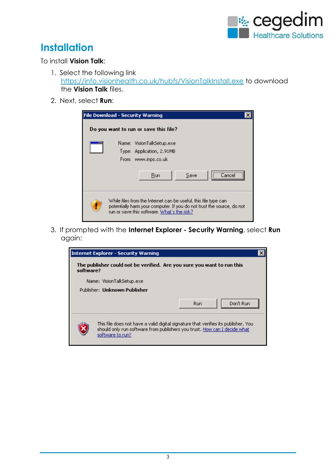

## **Installation**

#### To install **Vision Talk**:

- 1. Select the following link <https://info.visionhealth.co.uk/hubfs/VisionTalkInstall.exe> to download the **Vision Talk** files.
- 2. Next, select **Run**:

| <b>File Download - Security Warning</b>                                                                                                                                                  |  |
|------------------------------------------------------------------------------------------------------------------------------------------------------------------------------------------|--|
| Do you want to run or save this file?                                                                                                                                                    |  |
| <br>Name: VisionTalkSetup.exe<br>Type: Application, 2.91MB<br>From: www.inps.co.uk<br>Save<br>Run<br>Cancel                                                                              |  |
| While files from the Internet can be useful, this file type can<br>potentially harm your computer. If you do not trust the source, do not<br>run or save this software. What's the risk? |  |

3. If prompted with the **Internet Explorer - Security Warning**, select **Run**  again:

|           | <b>Internet Explorer - Security Warning</b>                                                                                                                                         |  |
|-----------|-------------------------------------------------------------------------------------------------------------------------------------------------------------------------------------|--|
| software? | The publisher could not be verified. Are you sure you want to run this                                                                                                              |  |
|           | Name: VisionTalkSetup.exe                                                                                                                                                           |  |
|           | Publisher: Unknown Publisher                                                                                                                                                        |  |
|           | Don't Run<br>Run                                                                                                                                                                    |  |
|           | This file does not have a valid digital signature that verifies its publisher. You<br>should only run software from publishers you trust. How can I decide what<br>software to run? |  |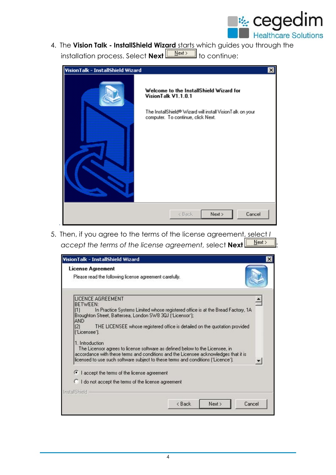

4. The **Vision Talk - InstallShield Wizard** starts which guides you through the installation process. Select **Next we areally continue:** 

| VisionTalk - InstallShield Wizard |                                                                                                                                                                   | $\vert x \vert$ |
|-----------------------------------|-------------------------------------------------------------------------------------------------------------------------------------------------------------------|-----------------|
|                                   | Welcome to the InstallShield Wizard for<br>VisionTalk V1.1.0.1<br>The InstallShield® Wizard will install VisionTalk on your<br>computer. To continue, click Next. |                 |
|                                   | Cancel<br>< Back<br>Next >                                                                                                                                        |                 |

5. Then, if you agree to the terms of the license agreement, select *I*  accept the terms of the license agreement, select **Next** [ **Next**>

| VisionTalk - InstallShield Wizard               |                                                                                                                                                                                                                                                         | ×              |
|-------------------------------------------------|---------------------------------------------------------------------------------------------------------------------------------------------------------------------------------------------------------------------------------------------------------|----------------|
| <b>License Agreement</b>                        | Please read the following license agreement carefully.                                                                                                                                                                                                  |                |
| LICENCE AGREEMENT<br><b>BETWEEN:</b><br>(1)     | In Practice Systems Limited whose registered office is at the Bread Factory, 1A                                                                                                                                                                         |                |
| <b>AND</b><br>$\left(2\right)$<br>['Licensee']. | Broughton Street, Battersea, London SW8 3QJ ['Licensor'];<br>THE LICENSEE whose registered office is detailed on the quotation provided                                                                                                                 |                |
| 1. Introduction                                 | The Licensor agrees to license software as defined below to the Licensee, in<br>accordance with these terms and conditions and the Licensee acknowledges that it is<br>licensed to use such software subject to these terms and conditions ('Licence'). |                |
| I accept the terms of the license agreement     |                                                                                                                                                                                                                                                         |                |
|                                                 | I do not accept the terms of the license agreement                                                                                                                                                                                                      |                |
| <b>InstallShield</b>                            |                                                                                                                                                                                                                                                         |                |
|                                                 | < Back                                                                                                                                                                                                                                                  | Next<br>Cancel |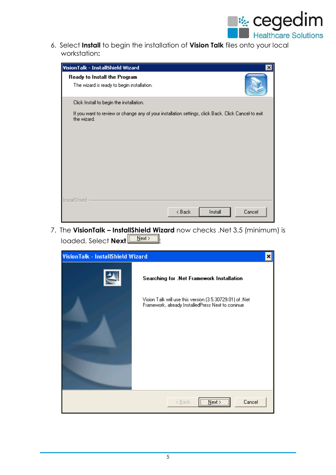

6. Select **Install** to begin the installation of **Vision Talk** files onto your local workstation**:**

| VisionTalk - InstallShield Wizard                                                                                  |                   | ×l     |
|--------------------------------------------------------------------------------------------------------------------|-------------------|--------|
| Ready to Install the Program<br>The wizard is ready to begin installation.                                         |                   |        |
| Click Install to begin the installation.                                                                           |                   |        |
| If you want to review or change any of your installation settings, click Back. Click Cancel to exit<br>the wizard. |                   |        |
| InstallShield                                                                                                      |                   |        |
|                                                                                                                    | < Back<br>Install | Cancel |

7. The **VisionTalk – InstallShield Wizard** now checks .Net 3.5 (minimum) is loaded. Select **Next** [ <u>Next > 1</u>.

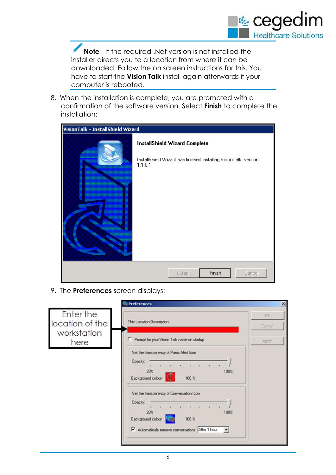

**Note** - If the required .Net version is not installed the installer directs you to a location from where it can be downloaded. Follow the on screen instructions for this. You have to start the **Vision Talk** install again afterwards if your computer is rebooted.

8. When the installation is complete, you are prompted with a confirmation of the software version. Select **Finish** to complete the installation:

| VisionTalk - InstallShield Wizard |                                                                                                               |  |
|-----------------------------------|---------------------------------------------------------------------------------------------------------------|--|
|                                   | InstallShield Wizard Complete<br>InstallShield Wizard has finished installing VisionTalk, version-<br>1.1.0.1 |  |
|                                   | Finish<br>< Back<br>Cancel                                                                                    |  |

9. The **Preferences** screen displays:

|                              | <b>Preferences</b>                                                                                                                               | $\vert x \vert$      |
|------------------------------|--------------------------------------------------------------------------------------------------------------------------------------------------|----------------------|
| Enter the<br>location of the | This Location Description                                                                                                                        | <b>BK</b><br>Cancell |
| workstation<br>here          | Prompt for your Vision Talk name on startup<br>Set the transparency of Panic Alert Icon<br>Opacity:                                              | Apply                |
|                              | 20%<br>100%<br>Background colour<br>100 %<br>Set the transparency of Conversation Icon-<br>Opacity.<br>$\rightarrow$<br>$\overline{\phantom{a}}$ |                      |
|                              | 20%<br>100%<br>Background colour<br>100 <sub>x</sub><br>Automatically remove conversations After 1 hour<br>$\mathbf{v}$                          |                      |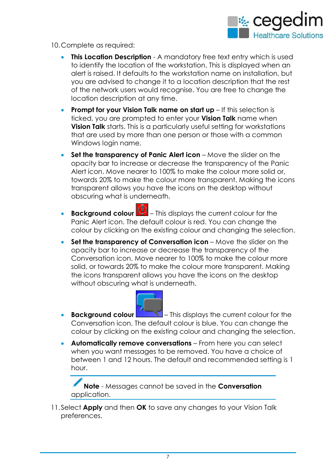

10.Complete as required:

- **This Location Description** A mandatory free text entry which is used to identify the location of the workstation. This is displayed when an alert is raised. It defaults to the workstation name on installation, but you are advised to change it to a location description that the rest of the network users would recognise. You are free to change the location description at any time.
- **Prompt for your Vision Talk name on start up** If this selection is ticked, you are prompted to enter your **Vision Talk** name when **Vision Talk** starts. This is a particularly useful setting for workstations that are used by more than one person or those with a common Windows login name.
- **Set the transparency of Panic Alert icon** Move the slider on the opacity bar to increase or decrease the transparency of the Panic Alert icon. Move nearer to 100% to make the colour more solid or, towards 20% to make the colour more transparent. Making the icons transparent allows you have the icons on the desktop without obscuring what is underneath.
- **Background colour**  $\overline{\mathbf{D}}$  This displays the current colour for the Panic Alert icon. The default colour is red. You can change the colour by clicking on the existing colour and changing the selection.
- **Set the transparency of Conversation icon** Move the slider on the opacity bar to increase or decrease the transparency of the Conversation icon. Move nearer to 100% to make the colour more solid, or towards 20% to make the colour more transparent. Making the icons transparent allows you have the icons on the desktop without obscuring what is underneath.



- **Background colour This displays the current colour for the** Conversation icon. The default colour is blue. You can change the colour by clicking on the existing colour and changing the selection.
- **Automatically remove conversations** From here you can select when you want messages to be removed. You have a choice of between 1 and 12 hours. The default and recommended setting is 1 hour.

**Note** - Messages cannot be saved in the **Conversation** application.

11.Select **Apply** and then **OK** to save any changes to your Vision Talk preferences.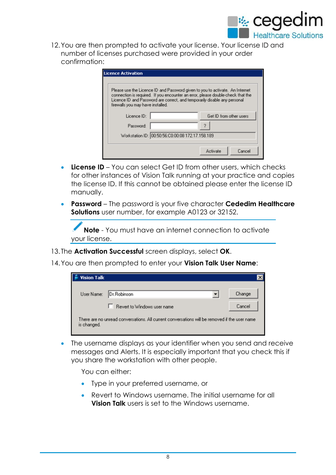

12.You are then prompted to activate your license. Your license ID and number of licenses purchased were provided in your order confirmation:

| firewalls you may have installed. | Licence ID and Password are correct, and temporarily disable any personal | Please use the Licence ID and Password given to you to activate. An Internet<br>connection is required. If you encounter an error, please double-check that the |
|-----------------------------------|---------------------------------------------------------------------------|-----------------------------------------------------------------------------------------------------------------------------------------------------------------|
| Licence ID:                       |                                                                           | Get ID from other users                                                                                                                                         |
| Password:                         |                                                                           |                                                                                                                                                                 |
|                                   | Workstation ID: 00:50:56:C0:00:08 172.17.158.189                          |                                                                                                                                                                 |

- **License ID** You can select Get ID from other users, which checks for other instances of Vision Talk running at your practice and copies the license ID. If this cannot be obtained please enter the license ID manually.
- **Password** The password is your five character **Cededim Healthcare Solutions** user number, for example A0123 or 32152.

**Note** - You must have an internet connection to activate your license.

13. The **Activation Successful** screen displays, select **OK**.

14.You are then prompted to enter your **Vision Talk User Name**:

| <b>Vision Talk</b>                                                                                           |                             |        |  |
|--------------------------------------------------------------------------------------------------------------|-----------------------------|--------|--|
| User Name:                                                                                                   | Dr.Robinson                 | Change |  |
|                                                                                                              | Revert to Windows user name | Cancel |  |
| There are no unread conversations. All current conversations will be removed if the user name<br>is changed. |                             |        |  |

 The username displays as your identifier when you send and receive messages and Alerts. It is especially important that you check this if you share the workstation with other people.

You can either:

- Type in your preferred username, or
- Revert to Windows username. The initial username for all **Vision Talk** users is set to the Windows username.